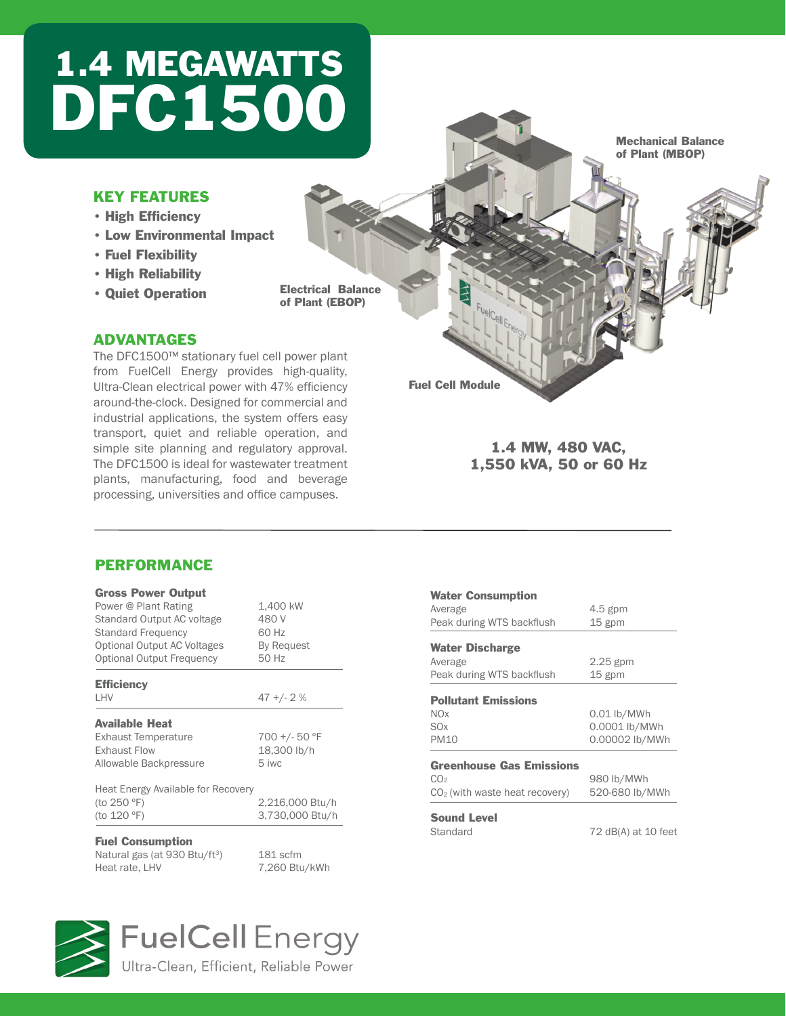## 1.4 MEGAWATTS DFC1500

#### KEY FEATURES

- • High Efficiency
- • Low Environmental Impact
- • Fuel Flexibility
- • High Reliability
- • Quiet Operation

Electrical Balance of Plant (EBOP)

#### ADVANTAGES

The DFC1500™ stationary fuel cell power plant from FuelCell Energy provides high-quality, Ultra-Clean electrical power with 47% efficiency around-the-clock. Designed for commercial and industrial applications, the system offers easy transport, quiet and reliable operation, and simple site planning and regulatory approval. The DFC1500 is ideal for wastewater treatment plants, manufacturing, food and beverage processing, universities and office campuses.

#### Mechanical Balance of Plant (MBOP)

Fuel Cell Module

Water Consumption

Average 4.5 gpm Peak during WTS backflush 15 gpm

#### 1.4 MW, 480 VAC, 1,550 kVA, 50 or 60 Hz

#### PERFORMANCE

| <b>Gross Power Output</b>          |                 |
|------------------------------------|-----------------|
| Power @ Plant Rating               | 1,400 kW        |
| Standard Output AC voltage         | 480 V           |
| <b>Standard Frequency</b>          | 60 Hz           |
| Optional Output AC Voltages        | By Request      |
| <b>Optional Output Frequency</b>   | 50 Hz           |
| <b>Efficiency</b>                  |                 |
| LHV                                | $47 + 2$ %      |
| <b>Available Heat</b>              |                 |
| <b>Exhaust Temperature</b>         | 700 +/- 50 °F   |
| <b>Exhaust Flow</b>                | 18,300 lb/h     |
| Allowable Backpressure             | 5 iwc           |
| Heat Energy Available for Recovery |                 |
| (to 250 °F)                        | 2,216,000 Btu/h |
| (to 120 °F)                        | 3,730,000 Btu/h |
| <b>Fuel Consumption</b>            |                 |
|                                    |                 |

| <b>Water Discharge</b><br>Average<br>Peak during WTS backflush | $2.25$ gpm<br>$15$ gpm |
|----------------------------------------------------------------|------------------------|
| <b>Pollutant Emissions</b>                                     |                        |
| <b>NOx</b>                                                     | $0.01$ lb/MWh          |
| <b>SO<sub>x</sub></b>                                          | 0.0001 lb/MWh          |
| <b>PM10</b>                                                    | 0.00002 lb/MWh         |
| <b>Greenhouse Gas Emissions</b>                                |                        |
| CO <sub>2</sub>                                                | 980 lb/MWh             |
| $CO2$ (with waste heat recovery)                               | 520-680 lb/MWh         |
| <b>Sound Level</b>                                             |                        |
| Standard                                                       | 72 dB(A) at 10 feet    |

Natural gas (at 930 Btu/ft<sup>3</sup>) 181 scfm<br>Heat rate, LHV 7,260 Btu

7,260 Btu/kWh